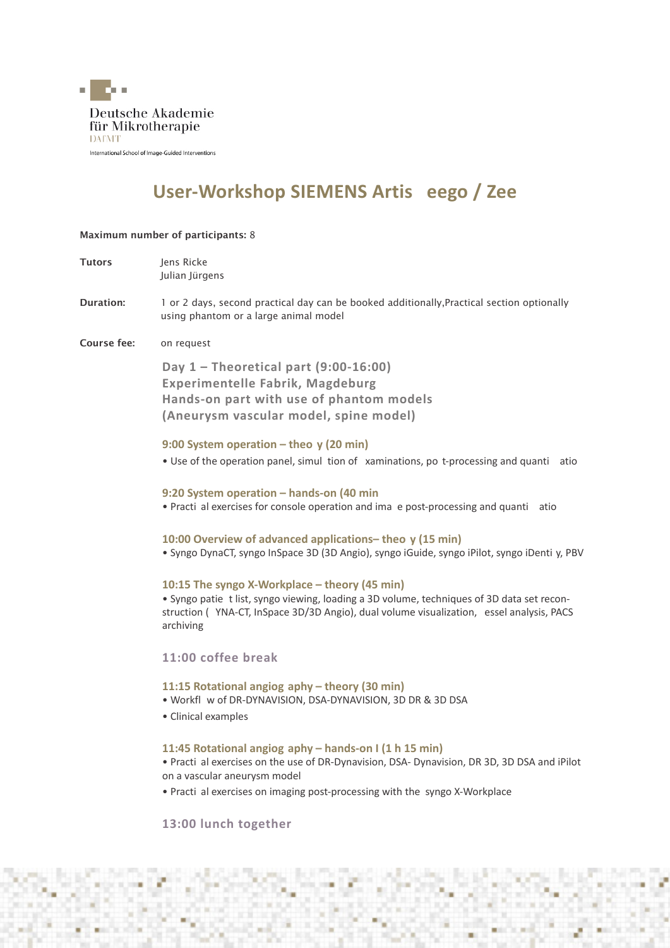

# **User-Workshop SIEMENS Artis eego / Zee**

# Maximum number of participants: 8

| <b>Tutors</b>    | Jens Ricke<br>Julian Jürgens                                                                                                                                                                                                                                          |
|------------------|-----------------------------------------------------------------------------------------------------------------------------------------------------------------------------------------------------------------------------------------------------------------------|
| <b>Duration:</b> | 1 or 2 days, second practical day can be booked additionally, Practical section optionally<br>using phantom or a large animal model                                                                                                                                   |
| Course fee:      | on request                                                                                                                                                                                                                                                            |
|                  | Day $1$ – Theoretical part (9:00-16:00)<br><b>Experimentelle Fabrik, Magdeburg</b><br>Hands-on part with use of phantom models<br>(Aneurysm vascular model, spine model)                                                                                              |
|                  | 9:00 System operation – theo y (20 min)<br>. Use of the operation panel, simul tion of xaminations, po t-processing and quanti<br>atio                                                                                                                                |
|                  | 9:20 System operation - hands-on (40 min<br>. Practi al exercises for console operation and ima e post-processing and quanti atio                                                                                                                                     |
|                  | 10:00 Overview of advanced applications- theo y (15 min)<br>· Syngo DynaCT, syngo InSpace 3D (3D Angio), syngo iGuide, syngo iPilot, syngo iDenti y, PBV                                                                                                              |
|                  | 10:15 The syngo X-Workplace – theory (45 min)<br>. Syngo patie t list, syngo viewing, loading a 3D volume, techniques of 3D data set recon-<br>struction (YNA-CT, InSpace 3D/3D Angio), dual volume visualization, essel analysis, PACS<br>archiving                  |
|                  | 11:00 coffee break                                                                                                                                                                                                                                                    |
|                  | 11:15 Rotational angiog aphy - theory (30 min)<br>. Workfl w of DR-DYNAVISION, DSA-DYNAVISION, 3D DR & 3D DSA<br>• Clinical examples                                                                                                                                  |
|                  | 11:45 Rotational angiog aphy - hands-on I (1 h 15 min)<br>. Practi al exercises on the use of DR-Dynavision, DSA- Dynavision, DR 3D, 3D DSA and iPilot<br>on a vascular aneurysm model<br>• Practi al exercises on imaging post-processing with the syngo X-Workplace |
|                  | 13:00 lunch together                                                                                                                                                                                                                                                  |